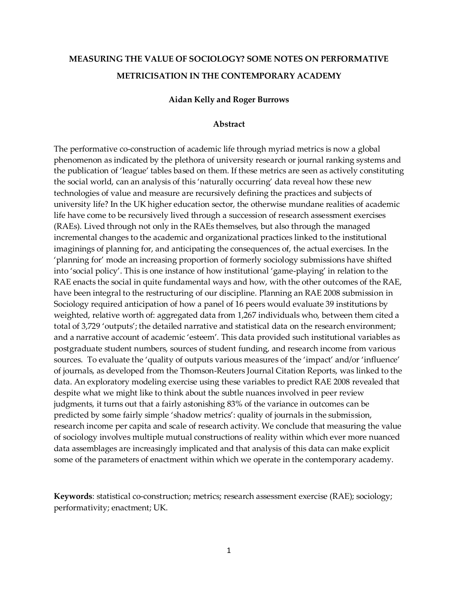# **MEASURING THE VALUE OF SOCIOLOGY? SOME NOTES ON PERFORMATIVE METRICISATION IN THE CONTEMPORARY ACADEMY**

#### **Aidan Kelly and Roger Burrows**

#### **Abstract**

The performative co-construction of academic life through myriad metrics is now a global phenomenon as indicated by the plethora of university research or journal ranking systems and the publication of 'league' tables based on them. If these metrics are seen as actively constituting the social world, can an analysis of this 'naturally occurring' data reveal how these new technologies of value and measure are recursively defining the practices and subjects of university life? In the UK higher education sector, the otherwise mundane realities of academic life have come to be recursively lived through a succession of research assessment exercises (RAEs). Lived through not only in the RAEs themselves, but also through the managed incremental changes to the academic and organizational practices linked to the institutional imaginings of planning for, and anticipating the consequences of, the actual exercises. In the 'planning for' mode an increasing proportion of formerly sociology submissions have shifted into 'social policy'. This is one instance of how institutional 'game-playing' in relation to the RAE enacts the social in quite fundamental ways and how, with the other outcomes of the RAE, have been integral to the restructuring of our discipline. Planning an RAE 2008 submission in Sociology required anticipation of how a panel of 16 peers would evaluate 39 institutions by weighted, relative worth of: aggregated data from 1,267 individuals who, between them cited a total of 3,729 'outputs'; the detailed narrative and statistical data on the research environment; and a narrative account of academic 'esteem'. This data provided such institutional variables as postgraduate student numbers, sources of student funding, and research income from various sources. To evaluate the 'quality of outputs various measures of the 'impact' and/or 'influence' of journals, as developed from the Thomson-Reuters Journal Citation Reports, was linked to the data. An exploratory modeling exercise using these variables to predict RAE 2008 revealed that despite what we might like to think about the subtle nuances involved in peer review judgments, it turns out that a fairly astonishing 83% of the variance in outcomes can be predicted by some fairly simple 'shadow metrics': quality of journals in the submission, research income per capita and scale of research activity. We conclude that measuring the value of sociology involves multiple mutual constructions of reality within which ever more nuanced data assemblages are increasingly implicated and that analysis of this data can make explicit some of the parameters of enactment within which we operate in the contemporary academy.

**Keywords**: statistical co-construction; metrics; research assessment exercise (RAE); sociology; performativity; enactment; UK.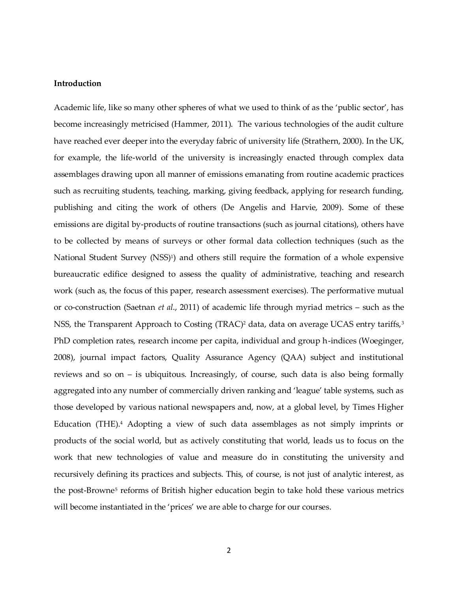#### **Introduction**

Academic life, like so many other spheres of what we used to think of as the 'public sector', has become increasingly metricised (Hammer, 2011). The various technologies of the audit culture have reached ever deeper into the everyday fabric of university life (Strathern, 2000). In the UK, for example, the life-world of the university is increasingly enacted through complex data assemblages drawing upon all manner of emissions emanating from routine academic practices such as recruiting students, teaching, marking, giving feedback, applying for research funding, publishing and citing the work of others (De Angelis and Harvie, 2009). Some of these emissions are digital by-products of routine transactions (such as journal citations), others have to be collected by means of surveys or other formal data collection techniques (such as the National Student Survey (NSS)<sup>1</sup> ) and others still require the formation of a whole expensive bureaucratic edifice designed to assess the quality of administrative, teaching and research work (such as, the focus of this paper, research assessment exercises). The performative mutual or co-construction (Saetnan *et al*., 2011) of academic life through myriad metrics – such as the NSS, the Transparent Approach to Costing (TRAC)<sup>2</sup> data, data on average UCAS entry tariffs,<sup>3</sup> PhD completion rates, research income per capita, individual and group h-indices (Woeginger, 2008), journal impact factors, Quality Assurance Agency (QAA) subject and institutional reviews and so on – is ubiquitous. Increasingly, of course, such data is also being formally aggregated into any number of commercially driven ranking and 'league' table systems, such as those developed by various national newspapers and, now, at a global level, by Times Higher Education (THE).<sup>4</sup> Adopting a view of such data assemblages as not simply imprints or products of the social world, but as actively constituting that world, leads us to focus on the work that new technologies of value and measure do in constituting the university and recursively defining its practices and subjects. This, of course, is not just of analytic interest, as the post-Browne<sup>5</sup> reforms of British higher education begin to take hold these various metrics will become instantiated in the 'prices' we are able to charge for our courses.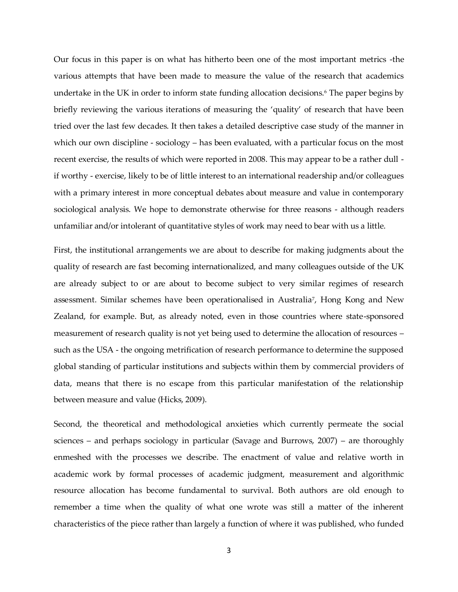Our focus in this paper is on what has hitherto been one of the most important metrics -the various attempts that have been made to measure the value of the research that academics undertake in the UK in order to inform state funding allocation decisions.<sup>6</sup> The paper begins by briefly reviewing the various iterations of measuring the 'quality' of research that have been tried over the last few decades. It then takes a detailed descriptive case study of the manner in which our own discipline - sociology – has been evaluated, with a particular focus on the most recent exercise, the results of which were reported in 2008. This may appear to be a rather dull if worthy - exercise, likely to be of little interest to an international readership and/or colleagues with a primary interest in more conceptual debates about measure and value in contemporary sociological analysis. We hope to demonstrate otherwise for three reasons - although readers unfamiliar and/or intolerant of quantitative styles of work may need to bear with us a little.

First, the institutional arrangements we are about to describe for making judgments about the quality of research are fast becoming internationalized, and many colleagues outside of the UK are already subject to or are about to become subject to very similar regimes of research assessment. Similar schemes have been operationalised in Australia<sup>7</sup> , Hong Kong and New Zealand, for example. But, as already noted, even in those countries where state-sponsored measurement of research quality is not yet being used to determine the allocation of resources – such as the USA - the ongoing metrification of research performance to determine the supposed global standing of particular institutions and subjects within them by commercial providers of data, means that there is no escape from this particular manifestation of the relationship between measure and value (Hicks, 2009).

Second, the theoretical and methodological anxieties which currently permeate the social sciences – and perhaps sociology in particular (Savage and Burrows, 2007) – are thoroughly enmeshed with the processes we describe. The enactment of value and relative worth in academic work by formal processes of academic judgment, measurement and algorithmic resource allocation has become fundamental to survival. Both authors are old enough to remember a time when the quality of what one wrote was still a matter of the inherent characteristics of the piece rather than largely a function of where it was published, who funded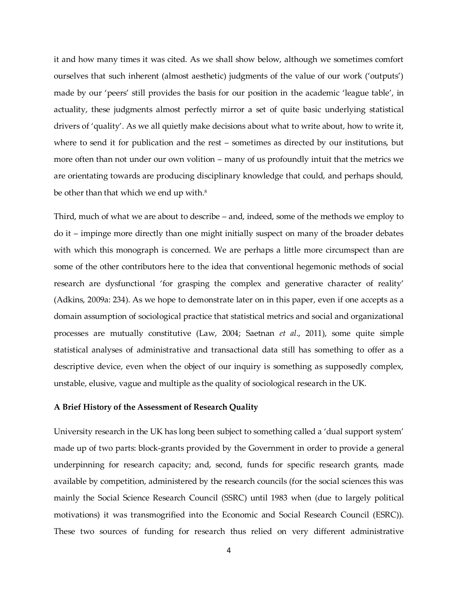it and how many times it was cited. As we shall show below, although we sometimes comfort ourselves that such inherent (almost aesthetic) judgments of the value of our work ('outputs') made by our 'peers' still provides the basis for our position in the academic 'league table', in actuality, these judgments almost perfectly mirror a set of quite basic underlying statistical drivers of 'quality'. As we all quietly make decisions about what to write about, how to write it, where to send it for publication and the rest – sometimes as directed by our institutions, but more often than not under our own volition – many of us profoundly intuit that the metrics we are orientating towards are producing disciplinary knowledge that could, and perhaps should, be other than that which we end up with.<sup>8</sup>

Third, much of what we are about to describe – and, indeed, some of the methods we employ to do it – impinge more directly than one might initially suspect on many of the broader debates with which this monograph is concerned. We are perhaps a little more circumspect than are some of the other contributors here to the idea that conventional hegemonic methods of social research are dysfunctional 'for grasping the complex and generative character of reality' (Adkins, 2009a: 234). As we hope to demonstrate later on in this paper, even if one accepts as a domain assumption of sociological practice that statistical metrics and social and organizational processes are mutually constitutive (Law, 2004; Saetnan *et al*., 2011), some quite simple statistical analyses of administrative and transactional data still has something to offer as a descriptive device, even when the object of our inquiry is something as supposedly complex, unstable, elusive, vague and multiple as the quality of sociological research in the UK.

### **A Brief History of the Assessment of Research Quality**

University research in the UK has long been subject to something called a 'dual support system' made up of two parts: block-grants provided by the Government in order to provide a general underpinning for research capacity; and, second, funds for specific research grants, made available by competition, administered by the research councils (for the social sciences this was mainly the Social Science Research Council (SSRC) until 1983 when (due to largely political motivations) it was transmogrified into the Economic and Social Research Council (ESRC)). These two sources of funding for research thus relied on very different administrative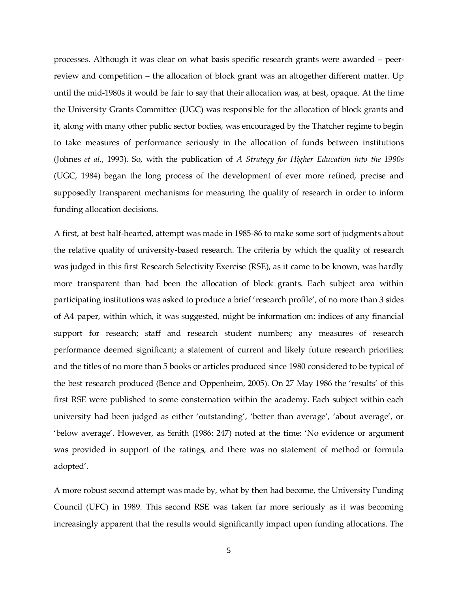processes. Although it was clear on what basis specific research grants were awarded – peerreview and competition – the allocation of block grant was an altogether different matter. Up until the mid-1980s it would be fair to say that their allocation was, at best, opaque. At the time the University Grants Committee (UGC) was responsible for the allocation of block grants and it, along with many other public sector bodies, was encouraged by the Thatcher regime to begin to take measures of performance seriously in the allocation of funds between institutions (Johnes *et al*., 1993). So, with the publication of *A Strategy for Higher Education into the 1990s* (UGC, 1984) began the long process of the development of ever more refined, precise and supposedly transparent mechanisms for measuring the quality of research in order to inform funding allocation decisions.

A first, at best half-hearted, attempt was made in 1985-86 to make some sort of judgments about the relative quality of university-based research. The criteria by which the quality of research was judged in this first Research Selectivity Exercise (RSE), as it came to be known, was hardly more transparent than had been the allocation of block grants. Each subject area within participating institutions was asked to produce a brief 'research profile', of no more than 3 sides of A4 paper, within which, it was suggested, might be information on: indices of any financial support for research; staff and research student numbers; any measures of research performance deemed significant; a statement of current and likely future research priorities; and the titles of no more than 5 books or articles produced since 1980 considered to be typical of the best research produced (Bence and Oppenheim, 2005). On 27 May 1986 the 'results' of this first RSE were published to some consternation within the academy. Each subject within each university had been judged as either 'outstanding', 'better than average', 'about average', or 'below average'. However, as Smith (1986: 247) noted at the time: 'No evidence or argument was provided in support of the ratings, and there was no statement of method or formula adopted'.

A more robust second attempt was made by, what by then had become, the University Funding Council (UFC) in 1989. This second RSE was taken far more seriously as it was becoming increasingly apparent that the results would significantly impact upon funding allocations. The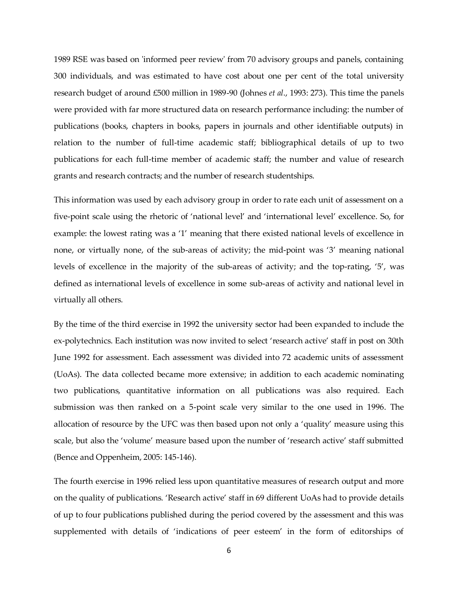1989 RSE was based on 'informed peer review' from 70 advisory groups and panels, containing 300 individuals, and was estimated to have cost about one per cent of the total university research budget of around £500 million in 1989-90 (Johnes *et al*., 1993: 273). This time the panels were provided with far more structured data on research performance including: the number of publications (books, chapters in books, papers in journals and other identifiable outputs) in relation to the number of full-time academic staff; bibliographical details of up to two publications for each full-time member of academic staff; the number and value of research grants and research contracts; and the number of research studentships.

This information was used by each advisory group in order to rate each unit of assessment on a five-point scale using the rhetoric of 'national level' and 'international level' excellence. So, for example: the lowest rating was a '1' meaning that there existed national levels of excellence in none, or virtually none, of the sub-areas of activity; the mid-point was '3' meaning national levels of excellence in the majority of the sub-areas of activity; and the top-rating, '5', was defined as international levels of excellence in some sub-areas of activity and national level in virtually all others.

By the time of the third exercise in 1992 the university sector had been expanded to include the ex-polytechnics. Each institution was now invited to select 'research active' staff in post on 30th June 1992 for assessment. Each assessment was divided into 72 academic units of assessment (UoAs). The data collected became more extensive; in addition to each academic nominating two publications, quantitative information on all publications was also required. Each submission was then ranked on a 5-point scale very similar to the one used in 1996. The allocation of resource by the UFC was then based upon not only a 'quality' measure using this scale, but also the 'volume' measure based upon the number of 'research active' staff submitted (Bence and Oppenheim, 2005: 145-146).

The fourth exercise in 1996 relied less upon quantitative measures of research output and more on the quality of publications. 'Research active' staff in 69 different UoAs had to provide details of up to four publications published during the period covered by the assessment and this was supplemented with details of 'indications of peer esteem' in the form of editorships of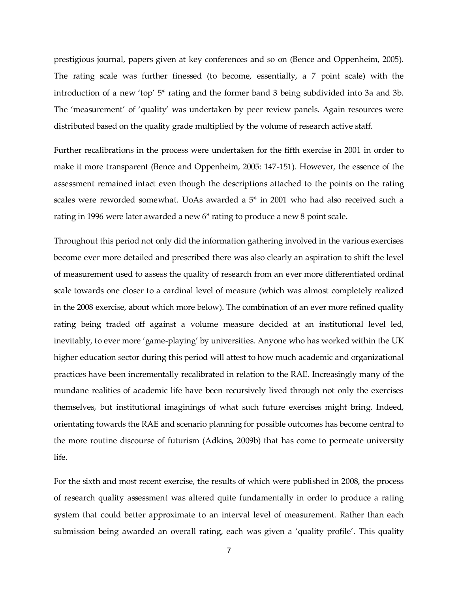prestigious journal, papers given at key conferences and so on (Bence and Oppenheim, 2005). The rating scale was further finessed (to become, essentially, a 7 point scale) with the introduction of a new 'top' 5\* rating and the former band 3 being subdivided into 3a and 3b. The 'measurement' of 'quality' was undertaken by peer review panels. Again resources were distributed based on the quality grade multiplied by the volume of research active staff.

Further recalibrations in the process were undertaken for the fifth exercise in 2001 in order to make it more transparent (Bence and Oppenheim, 2005: 147-151). However, the essence of the assessment remained intact even though the descriptions attached to the points on the rating scales were reworded somewhat. UoAs awarded a 5\* in 2001 who had also received such a rating in 1996 were later awarded a new 6\* rating to produce a new 8 point scale.

Throughout this period not only did the information gathering involved in the various exercises become ever more detailed and prescribed there was also clearly an aspiration to shift the level of measurement used to assess the quality of research from an ever more differentiated ordinal scale towards one closer to a cardinal level of measure (which was almost completely realized in the 2008 exercise, about which more below). The combination of an ever more refined quality rating being traded off against a volume measure decided at an institutional level led, inevitably, to ever more 'game-playing' by universities. Anyone who has worked within the UK higher education sector during this period will attest to how much academic and organizational practices have been incrementally recalibrated in relation to the RAE. Increasingly many of the mundane realities of academic life have been recursively lived through not only the exercises themselves, but institutional imaginings of what such future exercises might bring. Indeed, orientating towards the RAE and scenario planning for possible outcomes has become central to the more routine discourse of futurism (Adkins, 2009b) that has come to permeate university life.

For the sixth and most recent exercise, the results of which were published in 2008, the process of research quality assessment was altered quite fundamentally in order to produce a rating system that could better approximate to an interval level of measurement. Rather than each submission being awarded an overall rating, each was given a 'quality profile'. This quality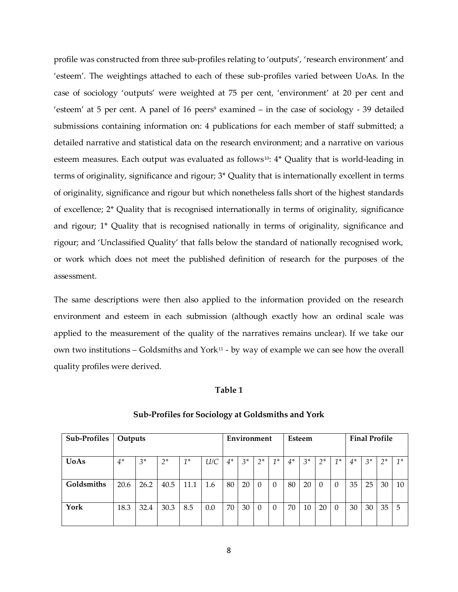profile was constructed from three sub-profiles relating to 'outputs', 'research environment' and 'esteem'. The weightings attached to each of these sub-profiles varied between UoAs. In the case of sociology 'outputs' were weighted at 75 per cent, 'environment' at 20 per cent and 'esteem' at 5 per cent. A panel of 16 peers<sup>9</sup> examined – in the case of sociology - 39 detailed submissions containing information on: 4 publications for each member of staff submitted; a detailed narrative and statistical data on the research environment; and a narrative on various esteem measures. Each output was evaluated as follows<sup>10</sup>: 4\* Quality that is world-leading in terms of originality, significance and rigour; 3\* Quality that is internationally excellent in terms of originality, significance and rigour but which nonetheless falls short of the highest standards of excellence; 2\* Quality that is recognised internationally in terms of originality, significance and rigour; 1\* Quality that is recognised nationally in terms of originality, significance and rigour; and 'Unclassified Quality' that falls below the standard of nationally recognised work, or work which does not meet the published definition of research for the purposes of the assessment.

The same descriptions were then also applied to the information provided on the research environment and esteem in each submission (although exactly how an ordinal scale was applied to the measurement of the quality of the narratives remains unclear). If we take our own two institutions  $-$  Goldsmiths and York<sup>11</sup> - by way of example we can see how the overall quality profiles were derived.

### **Table 1**

| Sub-Profiles | Outputs |       |      | Environment |     | Esteem |       |          | <b>Final Profile</b> |      |       |          |          |      |       |      |       |
|--------------|---------|-------|------|-------------|-----|--------|-------|----------|----------------------|------|-------|----------|----------|------|-------|------|-------|
| <b>UoAs</b>  | $4*$    | $3^*$ | $2*$ | $1^*$       | U/C | $4*$   | $3^*$ | $2*$     | $1^*$                | $4*$ | $3^*$ | $2*$     | $1^*$    | $4*$ | $3^*$ | $2*$ | $1^*$ |
| Goldsmiths   | 20.6    | 26.2  | 40.5 | 11.1        | 1.6 | 80     | 20    | $\Omega$ | $\Omega$             | 80   | 20    | $\Omega$ |          | 35   | 25    | 30   | 10    |
| York         | 18.3    | 32.4  | 30.3 | 8.5         | 0.0 | 70     | 30    | $\Omega$ | $\Omega$             | 70   | 10    | 20       | $\Omega$ | 30   | 30    | 35   | -5    |

#### **Sub-Profiles for Sociology at Goldsmiths and York**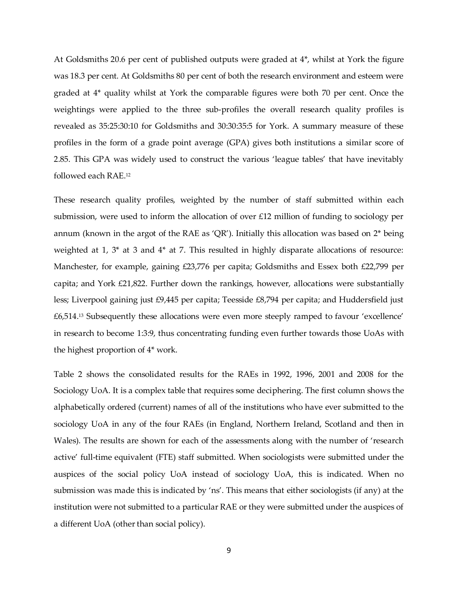At Goldsmiths 20.6 per cent of published outputs were graded at 4\*, whilst at York the figure was 18.3 per cent. At Goldsmiths 80 per cent of both the research environment and esteem were graded at 4\* quality whilst at York the comparable figures were both 70 per cent. Once the weightings were applied to the three sub-profiles the overall research quality profiles is revealed as 35:25:30:10 for Goldsmiths and 30:30:35:5 for York. A summary measure of these profiles in the form of a grade point average (GPA) gives both institutions a similar score of 2.85. This GPA was widely used to construct the various 'league tables' that have inevitably followed each RAE.<sup>12</sup>

These research quality profiles, weighted by the number of staff submitted within each submission, were used to inform the allocation of over £12 million of funding to sociology per annum (known in the argot of the RAE as 'QR'). Initially this allocation was based on 2\* being weighted at 1, 3<sup>\*</sup> at 3 and 4<sup>\*</sup> at 7. This resulted in highly disparate allocations of resource: Manchester, for example, gaining £23,776 per capita; Goldsmiths and Essex both £22,799 per capita; and York £21,822. Further down the rankings, however, allocations were substantially less; Liverpool gaining just £9,445 per capita; Teesside £8,794 per capita; and Huddersfield just £6,514.<sup>13</sup> Subsequently these allocations were even more steeply ramped to favour 'excellence' in research to become 1:3:9, thus concentrating funding even further towards those UoAs with the highest proportion of 4\* work.

Table 2 shows the consolidated results for the RAEs in 1992, 1996, 2001 and 2008 for the Sociology UoA. It is a complex table that requires some deciphering. The first column shows the alphabetically ordered (current) names of all of the institutions who have ever submitted to the sociology UoA in any of the four RAEs (in England, Northern Ireland, Scotland and then in Wales). The results are shown for each of the assessments along with the number of 'research active' full-time equivalent (FTE) staff submitted. When sociologists were submitted under the auspices of the social policy UoA instead of sociology UoA, this is indicated. When no submission was made this is indicated by 'ns'. This means that either sociologists (if any) at the institution were not submitted to a particular RAE or they were submitted under the auspices of a different UoA (other than social policy).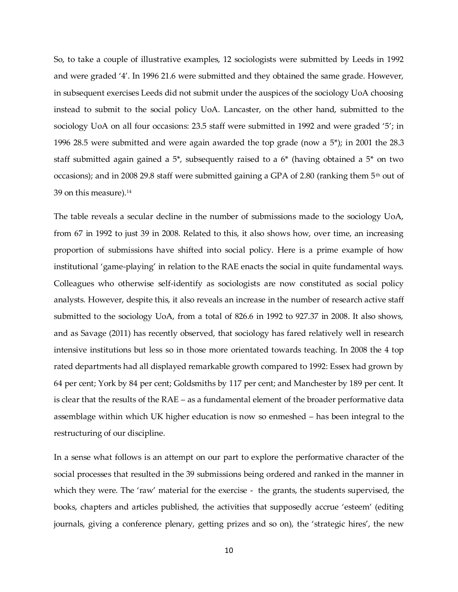So, to take a couple of illustrative examples, 12 sociologists were submitted by Leeds in 1992 and were graded '4'. In 1996 21.6 were submitted and they obtained the same grade. However, in subsequent exercises Leeds did not submit under the auspices of the sociology UoA choosing instead to submit to the social policy UoA. Lancaster, on the other hand, submitted to the sociology UoA on all four occasions: 23.5 staff were submitted in 1992 and were graded '5'; in 1996 28.5 were submitted and were again awarded the top grade (now a 5\*); in 2001 the 28.3 staff submitted again gained a 5\*, subsequently raised to a 6\* (having obtained a 5\* on two occasions); and in 2008 29.8 staff were submitted gaining a GPA of 2.80 (ranking them 5<sup>th</sup> out of 39 on this measure).<sup>14</sup>

The table reveals a secular decline in the number of submissions made to the sociology UoA, from 67 in 1992 to just 39 in 2008. Related to this, it also shows how, over time, an increasing proportion of submissions have shifted into social policy. Here is a prime example of how institutional 'game-playing' in relation to the RAE enacts the social in quite fundamental ways. Colleagues who otherwise self-identify as sociologists are now constituted as social policy analysts. However, despite this, it also reveals an increase in the number of research active staff submitted to the sociology UoA, from a total of 826.6 in 1992 to 927.37 in 2008. It also shows, and as Savage (2011) has recently observed, that sociology has fared relatively well in research intensive institutions but less so in those more orientated towards teaching. In 2008 the 4 top rated departments had all displayed remarkable growth compared to 1992: Essex had grown by 64 per cent; York by 84 per cent; Goldsmiths by 117 per cent; and Manchester by 189 per cent. It is clear that the results of the RAE – as a fundamental element of the broader performative data assemblage within which UK higher education is now so enmeshed – has been integral to the restructuring of our discipline.

In a sense what follows is an attempt on our part to explore the performative character of the social processes that resulted in the 39 submissions being ordered and ranked in the manner in which they were. The 'raw' material for the exercise - the grants, the students supervised, the books, chapters and articles published, the activities that supposedly accrue 'esteem' (editing journals, giving a conference plenary, getting prizes and so on), the 'strategic hires', the new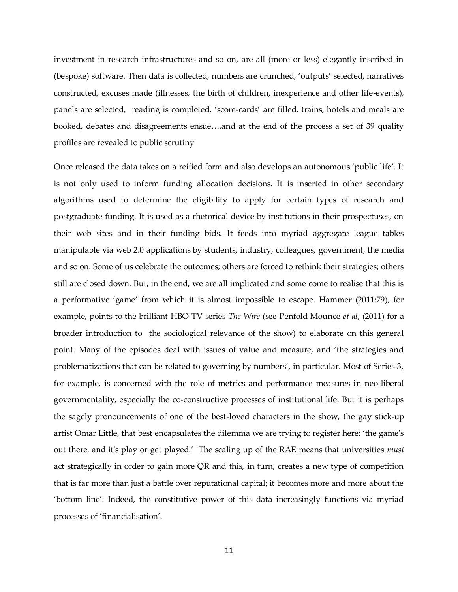investment in research infrastructures and so on, are all (more or less) elegantly inscribed in (bespoke) software. Then data is collected, numbers are crunched, 'outputs' selected, narratives constructed, excuses made (illnesses, the birth of children, inexperience and other life-events), panels are selected, reading is completed, 'score-cards' are filled, trains, hotels and meals are booked, debates and disagreements ensue....and at the end of the process a set of 39 quality profiles are revealed to public scrutiny

Once released the data takes on a reified form and also develops an autonomous 'public life'. It is not only used to inform funding allocation decisions. It is inserted in other secondary algorithms used to determine the eligibility to apply for certain types of research and postgraduate funding. It is used as a rhetorical device by institutions in their prospectuses, on their web sites and in their funding bids. It feeds into myriad aggregate league tables manipulable via web 2.0 applications by students, industry, colleagues, government, the media and so on. Some of us celebrate the outcomes; others are forced to rethink their strategies; others still are closed down. But, in the end, we are all implicated and some come to realise that this is a performative 'game' from which it is almost impossible to escape. Hammer (2011:79), for example, points to the brilliant HBO TV series *The Wire* (see Penfold-Mounce *et al*, (2011) for a broader introduction to the sociological relevance of the show) to elaborate on this general point. Many of the episodes deal with issues of value and measure, and 'the strategies and problematizations that can be related to governing by numbers', in particular. Most of Series 3, for example, is concerned with the role of metrics and performance measures in neo-liberal governmentality, especially the co-constructive processes of institutional life. But it is perhaps the sagely pronouncements of one of the best-loved characters in the show, the gay stick-up artist Omar Little, that best encapsulates the dilemma we are trying to register here: 'the game's out there, and it's play or get played.' The scaling up of the RAE means that universities *must* act strategically in order to gain more QR and this, in turn, creates a new type of competition that is far more than just a battle over reputational capital; it becomes more and more about the 'bottom line'. Indeed, the constitutive power of this data increasingly functions via myriad processes of 'financialisation'.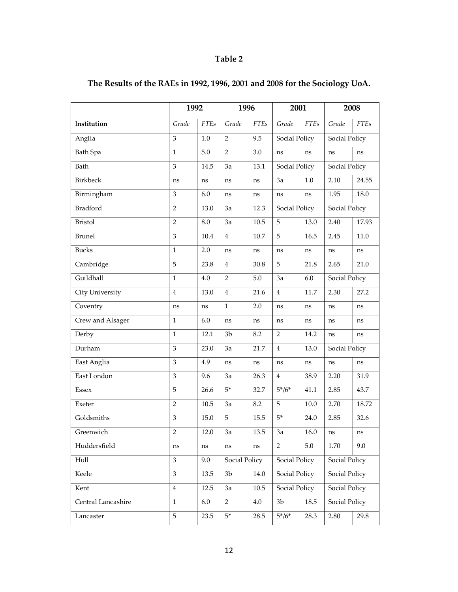# **Table 2**

|                    | 1992<br>1996   |             | 2001           |             | 2008           |             |               |             |
|--------------------|----------------|-------------|----------------|-------------|----------------|-------------|---------------|-------------|
| Institution        | Grade          | <b>FTEs</b> | Grade          | <b>FTEs</b> | Grade          | <b>FTEs</b> | Grade         | <b>FTEs</b> |
| Anglia             | 3              | 1.0         | 2              | 9.5         | Social Policy  |             | Social Policy |             |
| Bath Spa           | $\mathbf{1}$   | 5.0         | $\overline{2}$ | 3.0         | ns             | ns          |               | ns          |
| Bath               | 3              | 14.5        | 3a             | 13.1        | Social Policy  |             | Social Policy |             |
| <b>Birkbeck</b>    | ns             | ns          | ns             | ns          | 3a             | 1.0         | 2.10          | 24.55       |
| Birmingham         | 3              | 6.0         | ns             | ns          | ns             | ns          | 1.95          | 18.0        |
| <b>Bradford</b>    | $\overline{2}$ | 13.0        | 3a             | 12.3        | Social Policy  |             | Social Policy |             |
| <b>Bristol</b>     | $\overline{2}$ | 8.0         | 3a             | 10.5        | 5              | 13.0        | 2.40          | 17.93       |
| <b>Brunel</b>      | 3              | 10.4        | $\overline{4}$ | 10.7        | 5              | 16.5        | 2.45          | 11.0        |
| <b>Bucks</b>       | $\mathbf{1}$   | 2.0         | ns             | ns          | ns             | ns          | ns            | ns          |
| Cambridge          | 5              | 23.8        | $\overline{4}$ | 30.8        | 5              | 21.8        | 2.65          | 21.0        |
| Guildhall          | $\mathbf{1}$   | 4.0         | 2              | 5.0         | 3a<br>6.0      |             | Social Policy |             |
| City University    | $\overline{4}$ | 13.0        | $\overline{4}$ | 21.6        | $\overline{4}$ | 11.7        | 2.30          | 27.2        |
| Coventry           | ns             | ns          | $\mathbf{1}$   | 2.0         | ns             | ns          | ns            | ns          |
| Crew and Alsager   | $\mathbf{1}$   | 6.0         | ns             | ns          | ns             | ns          | ns            | ns          |
| Derby              | $\mathbf{1}$   | 12.1        | 3 <sub>b</sub> | 8.2         | $\overline{2}$ | 14.2        | ns            | ns          |
| Durham             | 3              | 23.0        | 3a             | 21.7        | 4              | 13.0        | Social Policy |             |
| East Anglia        | 3              | 4.9         | ns             | ns          | ns             | ns          | ns            | ns          |
| East London        | 3              | 9.6         | 3a             | 26.3        | 4              | 38.9        | 2.20          | 31.9        |
| <b>Essex</b>       | 5              | 26.6        | $5*$           | 32.7        | $5*/6*$        | 41.1        | 2.85          | 43.7        |
| Exeter             | $\overline{2}$ | 10.5        | 3a             | 8.2         | 5              | 10.0        | 2.70          | 18.72       |
| Goldsmiths         | 3              | 15.0        | 5              | 15.5        | $5*$           | 24.0        | 2.85          | 32.6        |
| Greenwich          | $\overline{2}$ | 12.0        | 3a             | 13.5        | 3a             | 16.0        | ns            | ns          |
| Huddersfield       | ns             | ns          | ns             | ns          | $\overline{2}$ | $5.0\,$     | 1.70          | 9.0         |
| Hull               | 3              | 9.0         | Social Policy  |             | Social Policy  |             | Social Policy |             |
| Keele              | 3              | 13.5        | 3 <sub>b</sub> | 14.0        | Social Policy  |             | Social Policy |             |
| Kent               | $\overline{4}$ | 12.5        | 3a             | 10.5        | Social Policy  |             | Social Policy |             |
| Central Lancashire | $\mathbf{1}$   | 6.0         | $\overline{2}$ | $4.0\,$     | 3 <sub>b</sub> | 18.5        | Social Policy |             |
| Lancaster          | 5              | 23.5        | $5*$           | 28.5        | $5*/6*$        | 28.3        | 2.80          | 29.8        |

# **The Results of the RAEs in 1992, 1996, 2001 and 2008 for the Sociology UoA.**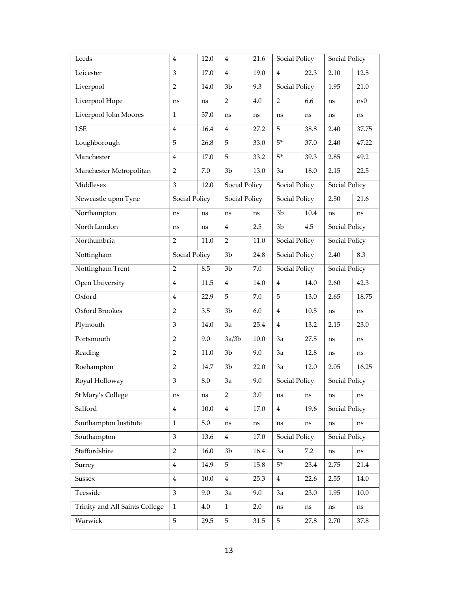| Leeds                          | $\overline{4}$ | 12.0    | 4              | 21.6 | Social Policy          |         | Social Policy |       |
|--------------------------------|----------------|---------|----------------|------|------------------------|---------|---------------|-------|
| Leicester                      | 3              | 17.0    | $\overline{4}$ | 19.0 | 4                      | 22.3    | 2.10          | 12.5  |
| Liverpool                      | $\overline{2}$ | 14.0    | 3b             | 9.3  | Social Policy          |         | 1.95          | 21.0  |
| Liverpool Hope                 | ns             | ns      | $\overline{2}$ | 4.0  | $\overline{2}$         | 6.6     | ns            | ns0   |
| Liverpool John Moores          | $\mathbf{1}$   | 37.0    | ns             | ns   | ns                     | ns      | ns            | ns    |
| LSE                            | $\overline{4}$ | 16.4    | 4              | 27.2 | 5                      | 38.8    | 2.40          | 37.75 |
| Loughborough                   | 5              | 26.8    | 5              | 33.0 | $5*$                   | 37.0    | 2.40          | 47.22 |
| Manchester                     | 4              | 17.0    | 5              | 33.2 | $5*$                   | 39.3    | 2.85          | 49.2  |
| Manchester Metropolitan        | 2              | 7.0     | 3 <sub>b</sub> | 13.0 | 3a                     | 18.0    | 2.15          | 22.5  |
| Middlesex                      | 3              | 12.0    | Social Policy  |      | Social Policy          |         | Social Policy |       |
| Newcastle upon Tyne            | Social Policy  |         | Social Policy  |      | Social Policy          |         | 2.50          | 21.6  |
| Northampton                    | ns             | ns      | ns             | ns   | 3 <sub>b</sub>         | 10.4    | ns            | ns    |
| North London                   | ns             | ns      | 4              | 2.5  | 3 <sub>b</sub>         | 4.5     | Social Policy |       |
| Northumbria                    | $\overline{2}$ | 11.0    | $\overline{2}$ | 11.0 | Social Policy          |         | Social Policy |       |
| Nottingham                     | Social Policy  |         | 3 <sub>b</sub> | 24.8 | Social Policy          |         | 2.40          | 8.3   |
| Nottingham Trent               | 2              | 8.5     | 3 <sub>b</sub> | 7.0  | Social Policy          |         | Social Policy |       |
| Open University                | $\overline{4}$ | 11.5    | 4              | 14.0 | 4                      | 14.0    | 2.60          | 42.3  |
| Oxford                         | $\overline{4}$ | 22.9    | 5              | 7.0  | 5                      | 13.0    | 2.65          | 18.75 |
| Oxford Brookes                 | $\overline{2}$ | 3.5     | 3b             | 6.0  | 4                      | 10.5    | ns            | ns    |
| Plymouth                       | 3              | 14.0    | 3a             | 25.4 | $\overline{4}$         | 13.2    | 2.15          | 23.0  |
| Portsmouth                     | $\overline{2}$ | 9.0     | 3a/3b          | 10.0 | 3a                     | 27.5    | ns            | ns    |
| Reading                        | $\overline{2}$ | 11.0    | 3 <sub>b</sub> | 9.0  | 3a                     | 12.8    | ns            | ns    |
| Roehampton                     | $\overline{2}$ | 14.7    | 3 <sub>b</sub> | 22.0 | 3a                     | 12.0    | 2.05          | 16.25 |
| Royal Holloway                 | 3              | 8.0     | 3a             | 9.0  | Social Policy          |         | Social Policy |       |
| St Mary's College              | ns             | ns      | $\overline{2}$ | 3.0  | ns                     | ns      | ns            | ns    |
| Salford                        | $\overline{4}$ | 10.0    | $\overline{4}$ | 17.0 | $\overline{4}$<br>19.6 |         | Social Policy |       |
| Southampton Institute          | $\mathbf{1}$   | $5.0\,$ | ns             | ns   | ns                     | ns      | $\rm ns$      | ns    |
| Southampton                    | 3              | 13.6    | $\overline{4}$ | 17.0 | Social Policy          |         | Social Policy |       |
| Staffordshire                  | $\overline{2}$ | 16.0    | 3 <sub>b</sub> | 16.4 | 3a                     | $7.2\,$ | $\rm ns$      | ns    |
| Surrey                         | $\overline{4}$ | 14.9    | 5              | 15.8 | $5*$                   | 23.4    | 2.75          | 21.4  |
| <b>Sussex</b>                  | $\overline{4}$ | 10.0    | $\overline{4}$ | 25.3 | $\overline{4}$         | 22.6    | 2.55          | 14.0  |
| Teesside                       | 3              | 9.0     | 3a             | 9.0  | 3a                     | 23.0    | 1.95          | 10.0  |
| Trinity and All Saints College | $\mathbf{1}$   | 4.0     | $\mathbf{1}$   | 2.0  | ns                     | ns      | ns            | ns    |
| Warwick                        | 5              | 29.5    | 5              | 31.5 | 5                      | 27.8    | 2.70          | 37.8  |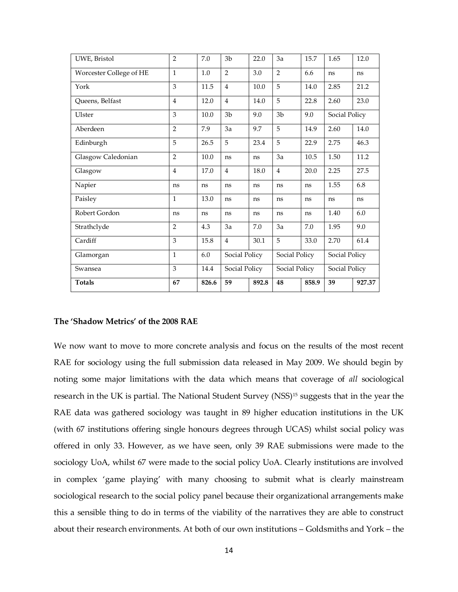| UWE, Bristol            | $\overline{2}$ | 7.0   | 3 <sub>b</sub> | 22.0          | 3a             | 15.7  | 1.65          | 12.0   |
|-------------------------|----------------|-------|----------------|---------------|----------------|-------|---------------|--------|
| Worcester College of HE | $\mathbf{1}$   | 1.0   | $\overline{2}$ | 3.0           | $\overline{2}$ | 6.6   | ns            | ns     |
| York                    | 3              | 11.5  | $\overline{4}$ | 10.0          | 5              | 14.0  | 2.85          | 21.2   |
| Queens, Belfast         | $\overline{4}$ | 12.0  | $\overline{4}$ | 14.0          | 5              | 22.8  | 2.60          | 23.0   |
| Ulster                  | 3              | 10.0  | 3 <sub>b</sub> | 9.0           | 3 <sub>b</sub> | 9.0   | Social Policy |        |
| Aberdeen                | $\overline{2}$ | 7.9   | 3a             | 9.7           | 5              | 14.9  | 2.60          | 14.0   |
| Edinburgh               | 5              | 26.5  | 5              | 23.4          | 5              | 22.9  | 2.75          | 46.3   |
| Glasgow Caledonian      | $\overline{2}$ | 10.0  | ns             | <sub>ns</sub> | 3a             | 10.5  | 1.50          | 11.2   |
| Glasgow                 | $\overline{4}$ | 17.0  | $\overline{4}$ | 18.0          | $\overline{4}$ | 20.0  | 2.25          | 27.5   |
| Napier                  | ns             | ns    | ns             | ns            | ns             | ns    | 1.55          | 6.8    |
| Paisley                 | $\mathbf{1}$   | 13.0  | ns             | ns            | ns             | ns    | ns            | ns     |
| Robert Gordon           | ns             | ns    | ns             | ns            | ns             | ns    | 1.40          | 6.0    |
| Strathclyde             | $\overline{2}$ | 4.3   | 3a             | 7.0           | 3a             | 7.0   | 1.95          | 9.0    |
| Cardiff                 | 3              | 15.8  | $\overline{4}$ | 30.1          | 5              | 33.0  | 2.70          | 61.4   |
| Glamorgan               | $\mathbf{1}$   | 6.0   | Social Policy  |               | Social Policy  |       | Social Policy |        |
| Swansea                 | 3              | 14.4  | Social Policy  |               | Social Policy  |       | Social Policy |        |
| <b>Totals</b>           | 67             | 826.6 | 59             | 892.8         | 48             | 858.9 | 39            | 927.37 |

# **The 'Shadow Metrics' of the 2008 RAE**

We now want to move to more concrete analysis and focus on the results of the most recent RAE for sociology using the full submission data released in May 2009. We should begin by noting some major limitations with the data which means that coverage of *all* sociological research in the UK is partial. The National Student Survey (NSS)<sup>15</sup> suggests that in the year the RAE data was gathered sociology was taught in 89 higher education institutions in the UK (with 67 institutions offering single honours degrees through UCAS) whilst social policy was offered in only 33. However, as we have seen, only 39 RAE submissions were made to the sociology UoA, whilst 67 were made to the social policy UoA. Clearly institutions are involved in complex 'game playing' with many choosing to submit what is clearly mainstream sociological research to the social policy panel because their organizational arrangements make this a sensible thing to do in terms of the viability of the narratives they are able to construct about their research environments. At both of our own institutions – Goldsmiths and York – the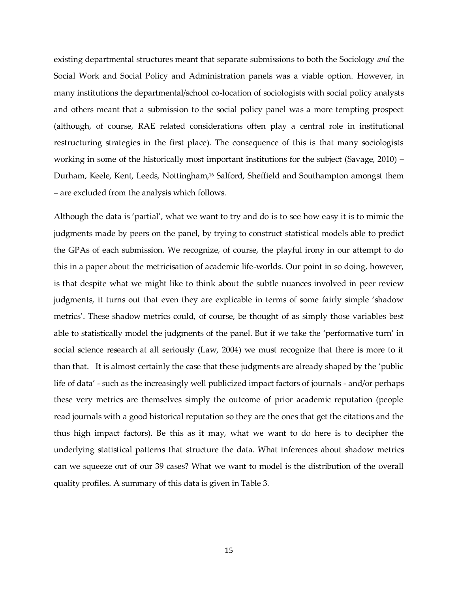existing departmental structures meant that separate submissions to both the Sociology *and* the Social Work and Social Policy and Administration panels was a viable option. However, in many institutions the departmental/school co-location of sociologists with social policy analysts and others meant that a submission to the social policy panel was a more tempting prospect (although, of course, RAE related considerations often play a central role in institutional restructuring strategies in the first place). The consequence of this is that many sociologists working in some of the historically most important institutions for the subject (Savage, 2010) – Durham, Keele, Kent, Leeds, Nottingham,<sup>16</sup> Salford, Sheffield and Southampton amongst them – are excluded from the analysis which follows.

Although the data is 'partial', what we want to try and do is to see how easy it is to mimic the judgments made by peers on the panel, by trying to construct statistical models able to predict the GPAs of each submission. We recognize, of course, the playful irony in our attempt to do this in a paper about the metricisation of academic life-worlds. Our point in so doing, however, is that despite what we might like to think about the subtle nuances involved in peer review judgments, it turns out that even they are explicable in terms of some fairly simple 'shadow metrics'. These shadow metrics could, of course, be thought of as simply those variables best able to statistically model the judgments of the panel. But if we take the 'performative turn' in social science research at all seriously (Law, 2004) we must recognize that there is more to it than that. It is almost certainly the case that these judgments are already shaped by the 'public life of data' - such as the increasingly well publicized impact factors of journals - and/or perhaps these very metrics are themselves simply the outcome of prior academic reputation (people read journals with a good historical reputation so they are the ones that get the citations and the thus high impact factors). Be this as it may, what we want to do here is to decipher the underlying statistical patterns that structure the data. What inferences about shadow metrics can we squeeze out of our 39 cases? What we want to model is the distribution of the overall quality profiles. A summary of this data is given in Table 3.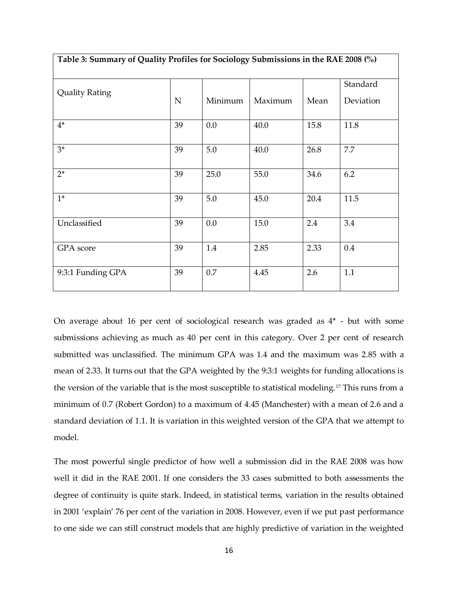| Table 3: Summary of Quality Profiles for Sociology Submissions in the RAE 2008 (%) |             |         |         |      |           |  |  |  |
|------------------------------------------------------------------------------------|-------------|---------|---------|------|-----------|--|--|--|
|                                                                                    |             |         |         |      | Standard  |  |  |  |
| <b>Quality Rating</b>                                                              | $\mathbf N$ | Minimum | Maximum | Mean | Deviation |  |  |  |
| $4*$                                                                               | 39          | 0.0     | 40.0    | 15.8 | 11.8      |  |  |  |
| $3*$                                                                               | 39          | $5.0\,$ | 40.0    | 26.8 | 7.7       |  |  |  |
| $2*$                                                                               | 39          | 25.0    | 55.0    | 34.6 | 6.2       |  |  |  |
| $1^*$                                                                              | 39          | 5.0     | 45.0    | 20.4 | 11.5      |  |  |  |
| Unclassified                                                                       | 39          | 0.0     | 15.0    | 2.4  | 3.4       |  |  |  |
| GPA score                                                                          | 39          | 1.4     | 2.85    | 2.33 | 0.4       |  |  |  |
| 9:3:1 Funding GPA                                                                  | 39          | 0.7     | 4.45    | 2.6  | 1.1       |  |  |  |

On average about 16 per cent of sociological research was graded as 4\* - but with some submissions achieving as much as 40 per cent in this category. Over 2 per cent of research submitted was unclassified. The minimum GPA was 1.4 and the maximum was 2.85 with a mean of 2.33. It turns out that the GPA weighted by the 9:3:1 weights for funding allocations is the version of the variable that is the most susceptible to statistical modeling.<sup>17</sup> This runs from a minimum of 0.7 (Robert Gordon) to a maximum of 4.45 (Manchester) with a mean of 2.6 and a standard deviation of 1.1. It is variation in this weighted version of the GPA that we attempt to model.

The most powerful single predictor of how well a submission did in the RAE 2008 was how well it did in the RAE 2001. If one considers the 33 cases submitted to both assessments the degree of continuity is quite stark. Indeed, in statistical terms, variation in the results obtained in 2001 'explain' 76 per cent of the variation in 2008. However, even if we put past performance to one side we can still construct models that are highly predictive of variation in the weighted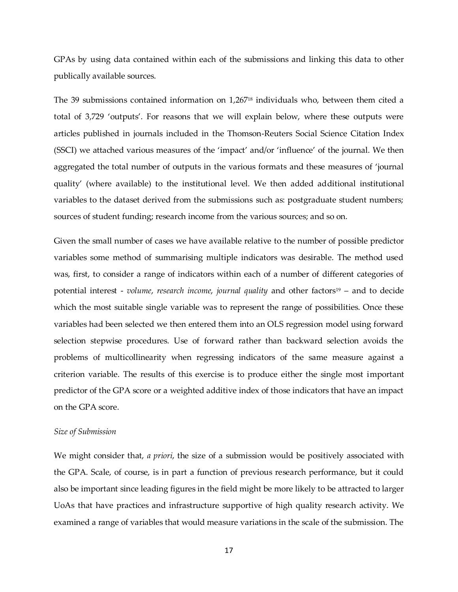GPAs by using data contained within each of the submissions and linking this data to other publically available sources.

The 39 submissions contained information on 1,267<sup>18</sup> individuals who, between them cited a total of 3,729 'outputs'. For reasons that we will explain below, where these outputs were articles published in journals included in the Thomson-Reuters Social Science Citation Index (SSCI) we attached various measures of the 'impact' and/or 'influence' of the journal. We then aggregated the total number of outputs in the various formats and these measures of 'journal quality' (where available) to the institutional level. We then added additional institutional variables to the dataset derived from the submissions such as: postgraduate student numbers; sources of student funding; research income from the various sources; and so on.

Given the small number of cases we have available relative to the number of possible predictor variables some method of summarising multiple indicators was desirable. The method used was, first, to consider a range of indicators within each of a number of different categories of potential interest - *volume, research income, journal quality* and other factors<sup>19</sup> – and to decide which the most suitable single variable was to represent the range of possibilities. Once these variables had been selected we then entered them into an OLS regression model using forward selection stepwise procedures. Use of forward rather than backward selection avoids the problems of multicollinearity when regressing indicators of the same measure against a criterion variable. The results of this exercise is to produce either the single most important predictor of the GPA score or a weighted additive index of those indicators that have an impact on the GPA score.

#### *Size of Submission*

We might consider that, *a priori*, the size of a submission would be positively associated with the GPA. Scale, of course, is in part a function of previous research performance, but it could also be important since leading figures in the field might be more likely to be attracted to larger UoAs that have practices and infrastructure supportive of high quality research activity. We examined a range of variables that would measure variations in the scale of the submission. The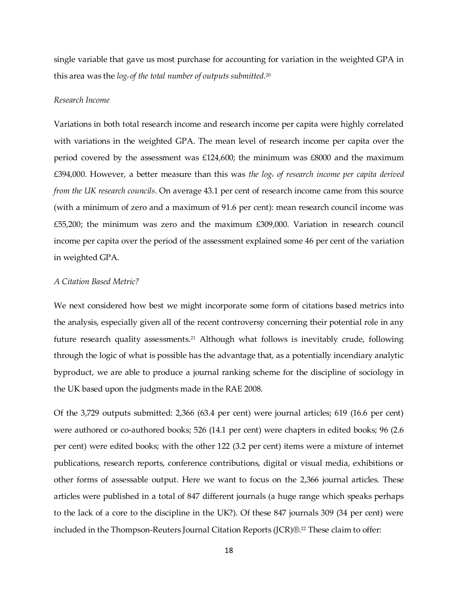single variable that gave us most purchase for accounting for variation in the weighted GPA in this area was the *loge of the total number of outputs submitted*. 20

## *Research Income*

Variations in both total research income and research income per capita were highly correlated with variations in the weighted GPA. The mean level of research income per capita over the period covered by the assessment was £124,600; the minimum was £8000 and the maximum £394,000. However, a better measure than this was *the log<sup>e</sup> of research income per capita derived from the UK research councils*. On average 43.1 per cent of research income came from this source (with a minimum of zero and a maximum of 91.6 per cent): mean research council income was £55,200; the minimum was zero and the maximum £309,000. Variation in research council income per capita over the period of the assessment explained some 46 per cent of the variation in weighted GPA.

#### *A Citation Based Metric?*

We next considered how best we might incorporate some form of citations based metrics into the analysis, especially given all of the recent controversy concerning their potential role in any future research quality assessments.<sup>21</sup> Although what follows is inevitably crude, following through the logic of what is possible has the advantage that, as a potentially incendiary analytic byproduct, we are able to produce a journal ranking scheme for the discipline of sociology in the UK based upon the judgments made in the RAE 2008.

Of the 3,729 outputs submitted: 2,366 (63.4 per cent) were journal articles; 619 (16.6 per cent) were authored or co-authored books; 526 (14.1 per cent) were chapters in edited books; 96 (2.6 per cent) were edited books; with the other 122 (3.2 per cent) items were a mixture of internet publications, research reports, conference contributions, digital or visual media, exhibitions or other forms of assessable output. Here we want to focus on the 2,366 journal articles. These articles were published in a total of 847 different journals (a huge range which speaks perhaps to the lack of a core to the discipline in the UK?). Of these 847 journals 309 (34 per cent) were included in the Thompson-Reuters Journal Citation Reports (JCR)®. <sup>22</sup> These claim to offer: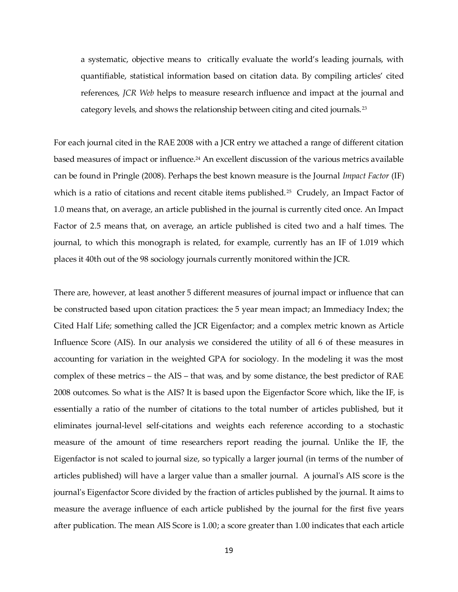a systematic, objective means to critically evaluate the world's leading journals, with quantifiable, statistical information based on citation data. By compiling articles' cited references, *JCR Web* helps to measure research influence and impact at the journal and category levels, and shows the relationship between citing and cited journals. <sup>23</sup>

For each journal cited in the RAE 2008 with a JCR entry we attached a range of different citation based measures of impact or influence.<sup>24</sup> An excellent discussion of the various metrics available can be found in Pringle (2008). Perhaps the best known measure is the Journal *Impact Factor* (IF) which is a ratio of citations and recent citable items published.<sup>25</sup> Crudely, an Impact Factor of 1.0 means that, on average, an article published in the journal is currently cited once. An Impact Factor of 2.5 means that, on average, an article published is cited two and a half times. The journal, to which this monograph is related, for example, currently has an IF of 1.019 which places it 40th out of the 98 sociology journals currently monitored within the JCR.

There are, however, at least another 5 different measures of journal impact or influence that can be constructed based upon citation practices: the 5 year mean impact; an Immediacy Index; the Cited Half Life; something called the JCR Eigenfactor; and a complex metric known as Article Influence Score (AIS). In our analysis we considered the utility of all 6 of these measures in accounting for variation in the weighted GPA for sociology. In the modeling it was the most complex of these metrics – the AIS – that was, and by some distance, the best predictor of RAE 2008 outcomes. So what is the AIS? It is based upon the Eigenfactor Score which, like the IF, is essentially a ratio of the number of citations to the total number of articles published, but it eliminates journal-level self-citations and weights each reference according to a stochastic measure of the amount of time researchers report reading the journal. Unlike the IF, the Eigenfactor is not scaled to journal size, so typically a larger journal (in terms of the number of articles published) will have a larger value than a smaller journal. A journal's AIS score is the journal's Eigenfactor Score divided by the fraction of articles published by the journal. It aims to measure the average influence of each article published by the journal for the first five years after publication. The mean AIS Score is 1.00; a score greater than 1.00 indicates that each article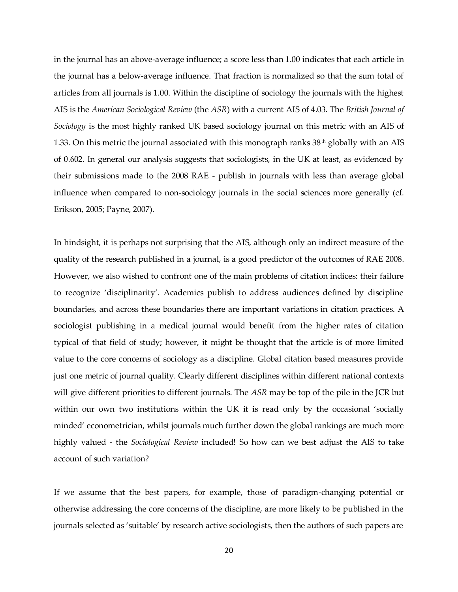in the journal has an above-average influence; a score less than 1.00 indicates that each article in the journal has a below-average influence. That fraction is normalized so that the sum total of articles from all journals is 1.00. Within the discipline of sociology the journals with the highest AIS is the *American Sociological Review* (the *ASR*) with a current AIS of 4.03. The *British Journal of Sociology* is the most highly ranked UK based sociology journal on this metric with an AIS of 1.33. On this metric the journal associated with this monograph ranks  $38<sup>th</sup>$  globally with an AIS of 0.602. In general our analysis suggests that sociologists, in the UK at least, as evidenced by their submissions made to the 2008 RAE - publish in journals with less than average global influence when compared to non-sociology journals in the social sciences more generally (cf. Erikson, 2005; Payne, 2007).

In hindsight, it is perhaps not surprising that the AIS, although only an indirect measure of the quality of the research published in a journal, is a good predictor of the outcomes of RAE 2008. However, we also wished to confront one of the main problems of citation indices: their failure to recognize 'disciplinarity'. Academics publish to address audiences defined by discipline boundaries, and across these boundaries there are important variations in citation practices. A sociologist publishing in a medical journal would benefit from the higher rates of citation typical of that field of study; however, it might be thought that the article is of more limited value to the core concerns of sociology as a discipline. Global citation based measures provide just one metric of journal quality. Clearly different disciplines within different national contexts will give different priorities to different journals. The *ASR* may be top of the pile in the JCR but within our own two institutions within the UK it is read only by the occasional 'socially minded' econometrician, whilst journals much further down the global rankings are much more highly valued - the *Sociological Review* included! So how can we best adjust the AIS to take account of such variation?

If we assume that the best papers, for example, those of paradigm-changing potential or otherwise addressing the core concerns of the discipline, are more likely to be published in the journals selected as 'suitable' by research active sociologists, then the authors of such papers are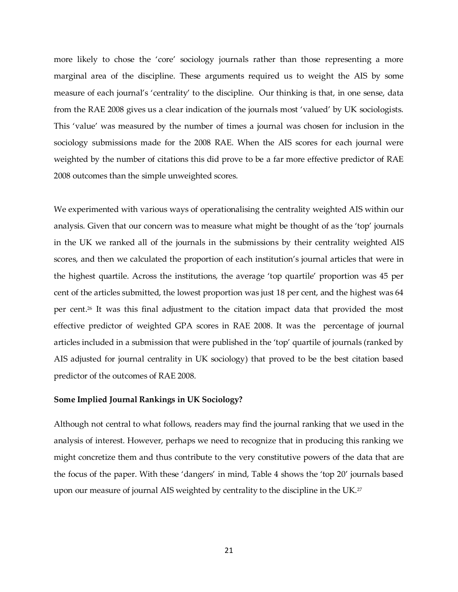more likely to chose the 'core' sociology journals rather than those representing a more marginal area of the discipline. These arguments required us to weight the AIS by some measure of each journal's 'centrality' to the discipline. Our thinking is that, in one sense, data from the RAE 2008 gives us a clear indication of the journals most 'valued' by UK sociologists. This 'value' was measured by the number of times a journal was chosen for inclusion in the sociology submissions made for the 2008 RAE. When the AIS scores for each journal were weighted by the number of citations this did prove to be a far more effective predictor of RAE 2008 outcomes than the simple unweighted scores.

We experimented with various ways of operationalising the centrality weighted AIS within our analysis. Given that our concern was to measure what might be thought of as the 'top' journals in the UK we ranked all of the journals in the submissions by their centrality weighted AIS scores, and then we calculated the proportion of each institution's journal articles that were in the highest quartile. Across the institutions, the average 'top quartile' proportion was 45 per cent of the articles submitted, the lowest proportion was just 18 per cent, and the highest was 64 per cent.<sup>26</sup> It was this final adjustment to the citation impact data that provided the most effective predictor of weighted GPA scores in RAE 2008. It was the percentage of journal articles included in a submission that were published in the 'top' quartile of journals (ranked by AIS adjusted for journal centrality in UK sociology) that proved to be the best citation based predictor of the outcomes of RAE 2008.

## **Some Implied Journal Rankings in UK Sociology?**

Although not central to what follows, readers may find the journal ranking that we used in the analysis of interest. However, perhaps we need to recognize that in producing this ranking we might concretize them and thus contribute to the very constitutive powers of the data that are the focus of the paper. With these 'dangers' in mind, Table 4 shows the 'top 20' journals based upon our measure of journal AIS weighted by centrality to the discipline in the UK.<sup>27</sup>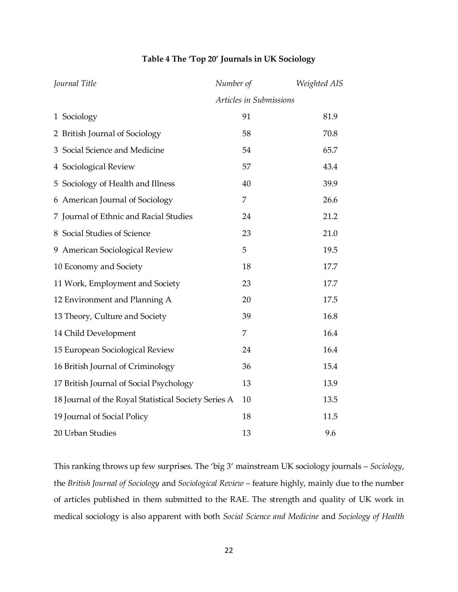# **Table 4 The 'Top 20' Journals in UK Sociology**

| Journal Title                                        | Number of               | Weighted AIS |
|------------------------------------------------------|-------------------------|--------------|
|                                                      | Articles in Submissions |              |
| 1 Sociology                                          | 91                      | 81.9         |
| 2 British Journal of Sociology                       | 58                      | 70.8         |
| 3 Social Science and Medicine                        | 54                      | 65.7         |
| 4 Sociological Review                                | 57                      | 43.4         |
| 5 Sociology of Health and Illness                    | 40                      | 39.9         |
| 6 American Journal of Sociology                      | 7                       | 26.6         |
| 7 Journal of Ethnic and Racial Studies               | 24                      | 21.2         |
| 8 Social Studies of Science                          | 23                      | 21.0         |
| 9 American Sociological Review                       | 5                       | 19.5         |
| 10 Economy and Society                               | 18                      | 17.7         |
| 11 Work, Employment and Society                      | 23                      | 17.7         |
| 12 Environment and Planning A                        | 20                      | 17.5         |
| 13 Theory, Culture and Society                       | 39                      | 16.8         |
| 14 Child Development                                 | 7                       | 16.4         |
| 15 European Sociological Review                      | 24                      | 16.4         |
| 16 British Journal of Criminology                    | 36                      | 15.4         |
| 17 British Journal of Social Psychology              | 13                      | 13.9         |
| 18 Journal of the Royal Statistical Society Series A | 10                      | 13.5         |
| 19 Journal of Social Policy                          | 18                      | 11.5         |
| 20 Urban Studies                                     | 13                      | 9.6          |

This ranking throws up few surprises. The 'big 3' mainstream UK sociology journals – *Sociology*, the *British Journal of Sociology* and *Sociological Review* – feature highly, mainly due to the number of articles published in them submitted to the RAE. The strength and quality of UK work in medical sociology is also apparent with both *Social Science and Medicine* and *Sociology of Health*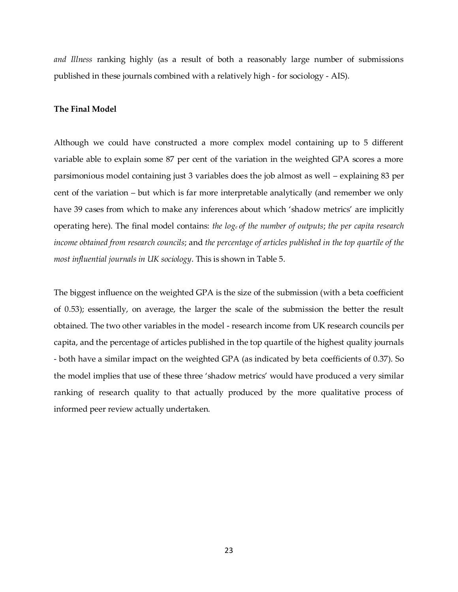*and Illness* ranking highly (as a result of both a reasonably large number of submissions published in these journals combined with a relatively high - for sociology - AIS).

#### **The Final Model**

Although we could have constructed a more complex model containing up to 5 different variable able to explain some 87 per cent of the variation in the weighted GPA scores a more parsimonious model containing just 3 variables does the job almost as well – explaining 83 per cent of the variation – but which is far more interpretable analytically (and remember we only have 39 cases from which to make any inferences about which 'shadow metrics' are implicitly operating here). The final model contains: *the loge of the number of outputs*; *the per capita research income obtained from research councils*; and *the percentage of articles published in the top quartile of the most influential journals in UK sociology*. This is shown in Table 5.

The biggest influence on the weighted GPA is the size of the submission (with a beta coefficient of 0.53); essentially, on average, the larger the scale of the submission the better the result obtained. The two other variables in the model - research income from UK research councils per capita, and the percentage of articles published in the top quartile of the highest quality journals - both have a similar impact on the weighted GPA (as indicated by beta coefficients of 0.37). So the model implies that use of these three 'shadow metrics' would have produced a very similar ranking of research quality to that actually produced by the more qualitative process of informed peer review actually undertaken.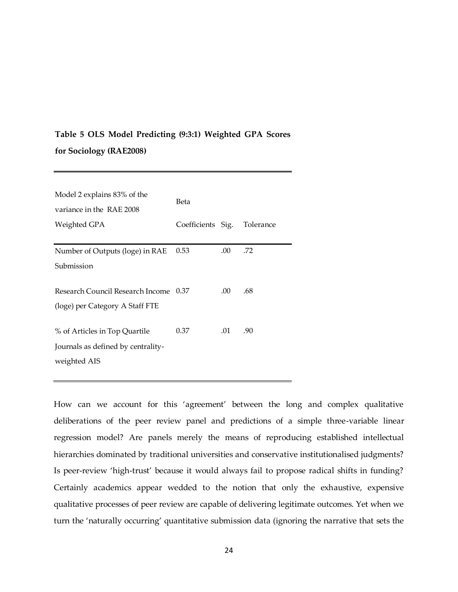# **Table 5 OLS Model Predicting (9:3:1) Weighted GPA Scores for Sociology (RAE2008)**

| Model 2 explains 83% of the<br>variance in the RAE 2008 | Beta              |      |           |  |  |  |
|---------------------------------------------------------|-------------------|------|-----------|--|--|--|
| Weighted GPA                                            | Coefficients Sig. |      | Tolerance |  |  |  |
| Number of Outputs (loge) in RAE                         | 0.53              | .00. | .72       |  |  |  |
| Submission                                              |                   |      |           |  |  |  |
| Research Council Research Income 0.37                   |                   | .00. | .68       |  |  |  |
| (loge) per Category A Staff FTE                         |                   |      |           |  |  |  |
| % of Articles in Top Quartile                           | 0.37              | .01  | .90       |  |  |  |
| Journals as defined by centrality-<br>weighted AIS      |                   |      |           |  |  |  |

How can we account for this 'agreement' between the long and complex qualitative deliberations of the peer review panel and predictions of a simple three-variable linear regression model? Are panels merely the means of reproducing established intellectual hierarchies dominated by traditional universities and conservative institutionalised judgments? Is peer-review 'high-trust' because it would always fail to propose radical shifts in funding? Certainly academics appear wedded to the notion that only the exhaustive, expensive qualitative processes of peer review are capable of delivering legitimate outcomes. Yet when we turn the 'naturally occurring' quantitative submission data (ignoring the narrative that sets the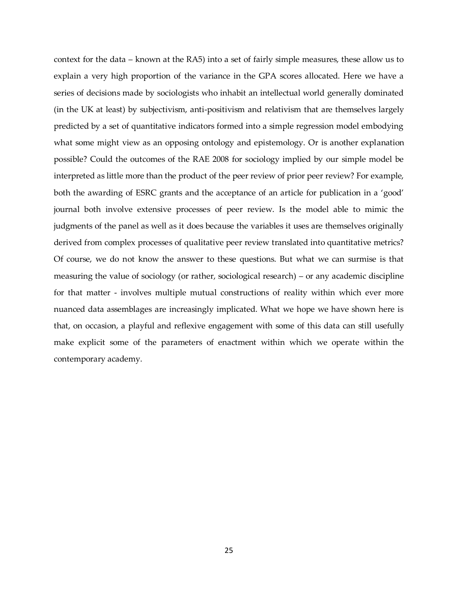context for the data – known at the RA5) into a set of fairly simple measures, these allow us to explain a very high proportion of the variance in the GPA scores allocated. Here we have a series of decisions made by sociologists who inhabit an intellectual world generally dominated (in the UK at least) by subjectivism, anti-positivism and relativism that are themselves largely predicted by a set of quantitative indicators formed into a simple regression model embodying what some might view as an opposing ontology and epistemology. Or is another explanation possible? Could the outcomes of the RAE 2008 for sociology implied by our simple model be interpreted as little more than the product of the peer review of prior peer review? For example, both the awarding of ESRC grants and the acceptance of an article for publication in a 'good' journal both involve extensive processes of peer review. Is the model able to mimic the judgments of the panel as well as it does because the variables it uses are themselves originally derived from complex processes of qualitative peer review translated into quantitative metrics? Of course, we do not know the answer to these questions. But what we can surmise is that measuring the value of sociology (or rather, sociological research) – or any academic discipline for that matter - involves multiple mutual constructions of reality within which ever more nuanced data assemblages are increasingly implicated. What we hope we have shown here is that, on occasion, a playful and reflexive engagement with some of this data can still usefully make explicit some of the parameters of enactment within which we operate within the contemporary academy.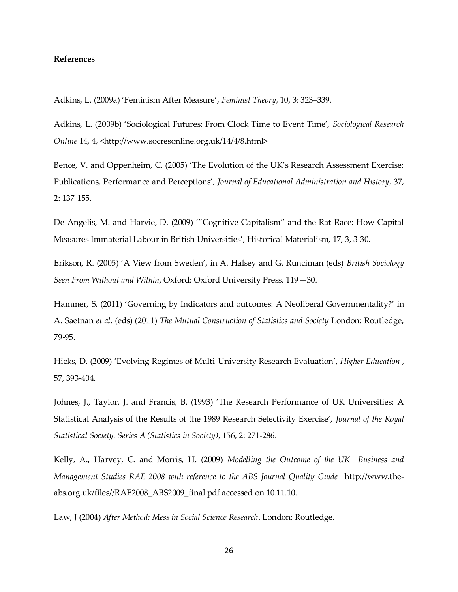#### **References**

Adkins, L. (2009a) 'Feminism After Measure', *Feminist Theory*, 10, 3: 323–339.

Adkins, L. (2009b) 'Sociological Futures: From Clock Time to Event Time', *Sociological Research Online* 14, 4, <http://www.socresonline.org.uk/14/4/8.html>

Bence, V. and Oppenheim, C. (2005) 'The Evolution of the UK's Research Assessment Exercise: Publications, Performance and Perceptions', *Journal of Educational Administration and History*, 37, 2: 137-155.

De Angelis, M. and Harvie, D. (2009) '"Cognitive Capitalism" and the Rat-Race: How Capital Measures Immaterial Labour in British Universities', Historical Materialism, 17, 3, 3-30.

Erikson, R. (2005) 'A View from Sweden', in A. Halsey and G. Runciman (eds) *British Sociology Seen From Without and Within*, Oxford: Oxford University Press, 119—30.

Hammer, S. (2011) 'Governing by Indicators and outcomes: A Neoliberal Governmentality?' in A. Saetnan *et al*. (eds) (2011) *The Mutual Construction of Statistics and Society* London: Routledge, 79-95.

Hicks, D. (2009) 'Evolving Regimes of Multi-University Research Evaluation', *Higher Education* , 57, 393-404.

Johnes, J., Taylor, J. and Francis, B. (1993) 'The Research Performance of UK Universities: A Statistical Analysis of the Results of the 1989 Research Selectivity Exercise', *Journal of the Royal Statistical Society. Series A (Statistics in Society)*, 156, 2: 271-286.

Kelly, A., Harvey, C. and Morris, H. (2009) *Modelling the Outcome of the UK Business and Management Studies RAE 2008 with reference to the ABS Journal Quality Guide* http://www.theabs.org.uk/files//RAE2008\_ABS2009\_final.pdf accessed on 10.11.10.

Law, J (2004) *After Method: Mess in Social Science Research*. London: Routledge.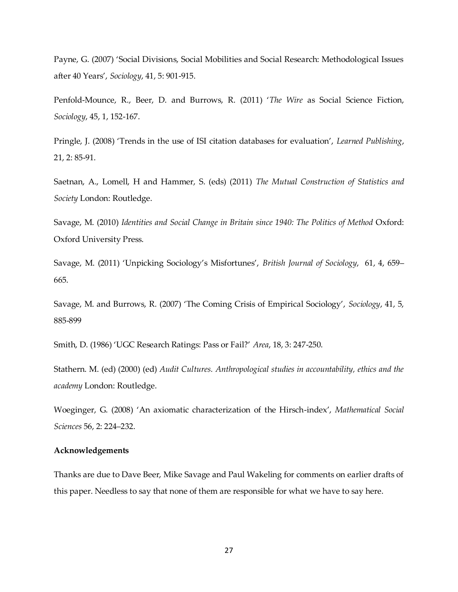Payne, G. (2007) 'Social Divisions, Social Mobilities and Social Research: Methodological Issues after 40 Years', *Sociology*, 41, 5: 901-915.

Penfold-Mounce, R., Beer, D. and Burrows, R. (2011) '*The Wire* as Social Science Fiction, *Sociology*, 45, 1, 152-167.

Pringle, J. (2008) 'Trends in the use of ISI citation databases for evaluation', *Learned Publishing*, 21, 2: 85-91.

Saetnan, A., Lomell, H and Hammer, S. (eds) (2011) *The Mutual Construction of Statistics and Society* London: Routledge.

Savage, M. (2010) *Identities and Social Change in Britain since 1940: The Politics of Method* Oxford: Oxford University Press.

Savage, M. (2011) 'Unpicking Sociology's Misfortunes', *British Journal of Sociology*, 61, 4, 659– 665.

Savage, M. and Burrows, R. (2007) 'The Coming Crisis of Empirical Sociology', *Sociology*, 41, 5, 885-899

Smith, D. (1986) 'UGC Research Ratings: Pass or Fail?' *Area*, 18, 3: 247-250.

Stathern. M. (ed) (2000) (ed) *Audit Cultures. Anthropological studies in accountability, ethics and the academy* London: Routledge.

Woeginger, G. (2008) 'An axiomatic characterization of the Hirsch-index', *Mathematical Social Sciences* 56, 2: 224–232.

#### **Acknowledgements**

Thanks are due to Dave Beer, Mike Savage and Paul Wakeling for comments on earlier drafts of this paper. Needless to say that none of them are responsible for what we have to say here.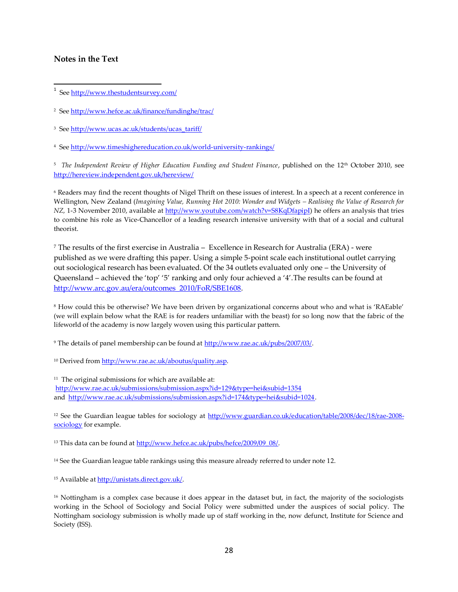### **Notes in the Text**

<u>.</u><br>I See <u>http://www.thestudentsurvey.com/</u>

<sup>2</sup> See <u>http://www.hefce.ac.uk/finance/fundinghe/trac/</u>

<sup>3</sup> See <u>http://www.ucas.ac.uk/students/ucas\_tariff/</u>

<sup>4</sup> See<http://www.timeshighereducation.co.uk/world-university-rankings/>

5 *The Independent Review of Higher Education Funding and Student Finance*, published on the 12th October 2010, see <http://hereview.independent.gov.uk/hereview/>

<sup>6</sup> Readers may find the recent thoughts of Nigel Thrift on these issues of interest. In a speech at a recent conference in Wellington, New Zealand (*Imagining Value, Running Hot 2010: Wonder and Widgets - Realising the Value of Research for NZ,* 1-3 November 2010, available at [http://www.youtube.com/watch?v=S8KqDfapipI\)](http://www.youtube.com/watch?v=S8KqDfapipI) he offers an analysis that tries to combine his role as Vice-Chancellor of a leading research intensive university with that of a social and cultural theorist.

<sup>7</sup> The results of the first exercise in Australia – Excellence in Research for Australia (ERA) - were published as we were drafting this paper. Using a simple 5-point scale each institutional outlet carrying out sociological research has been evaluated. Of the 34 outlets evaluated only one – the University of Queensland – achieved the 'top' '5' ranking and only four achieved a '4'.The results can be found at [http://www.arc.gov.au/era/outcomes\\_2010/FoR/SBE1608.](http://www.arc.gov.au/era/outcomes_2010/FoR/SBE1608)

<sup>8</sup> How could this be otherwise? We have been driven by organizational concerns about who and what is 'RAEable' (we will explain below what the RAE is for readers unfamiliar with the beast) for so long now that the fabric of the lifeworld of the academy is now largely woven using this particular pattern.

<sup>9</sup> The details of panel membership can be found at [http://www.rae.ac.uk/pubs/2007/03/.](http://www.rae.ac.uk/pubs/2007/03/)

<sup>10</sup> Derived fro[m http://www.rae.ac.uk/aboutus/quality.asp.](http://www.rae.ac.uk/aboutus/quality.asp)

 $11$  The original submissions for which are available at: <http://www.rae.ac.uk/submissions/submission.aspx?id=129&type=hei&subid=1354> and [http://www.rae.ac.uk/submissions/submission.aspx?id=174&type=hei&subid=1024.](http://www.rae.ac.uk/submissions/submission.aspx?id=174&type=hei&subid=1024)

<sup>12</sup> See the Guardian league tables for sociology at [http://www.guardian.co.uk/education/table/2008/dec/18/rae-2008](http://www.guardian.co.uk/education/table/2008/dec/18/rae-2008-sociology) [sociology](http://www.guardian.co.uk/education/table/2008/dec/18/rae-2008-sociology) for example.

<sup>13</sup> This data can be found a[t http://www.hefce.ac.uk/pubs/hefce/2009/09\\_08/.](http://www.hefce.ac.uk/pubs/hefce/2009/09_08/)

<sup>14</sup> See the Guardian league table rankings using this measure already referred to under note 12.

<sup>15</sup> Available a[t http://unistats.direct.gov.uk/.](http://unistats.direct.gov.uk/)

<sup>16</sup> Nottingham is a complex case because it does appear in the dataset but, in fact, the majority of the sociologists working in the School of Sociology and Social Policy were submitted under the auspices of social policy. The Nottingham sociology submission is wholly made up of staff working in the, now defunct, Institute for Science and Society (ISS).